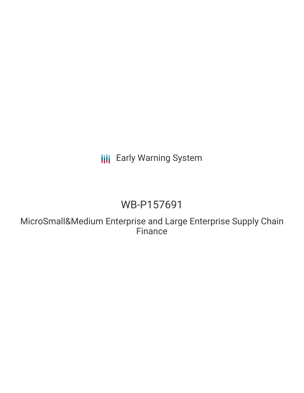**III** Early Warning System

# WB-P157691

MicroSmall&Medium Enterprise and Large Enterprise Supply Chain Finance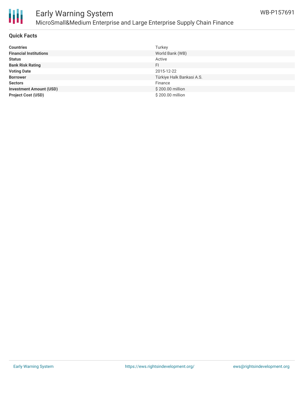

### Early Warning System MicroSmall&Medium Enterprise and Large Enterprise Supply Chain Finance

#### **Quick Facts**

| <b>Countries</b>               | Turkey                    |
|--------------------------------|---------------------------|
| <b>Financial Institutions</b>  | World Bank (WB)           |
| <b>Status</b>                  | Active                    |
| <b>Bank Risk Rating</b>        | FI                        |
| <b>Voting Date</b>             | 2015-12-22                |
| <b>Borrower</b>                | Türkiye Halk Bankasi A.S. |
| <b>Sectors</b>                 | Finance                   |
| <b>Investment Amount (USD)</b> | \$200.00 million          |
| <b>Project Cost (USD)</b>      | \$200.00 million          |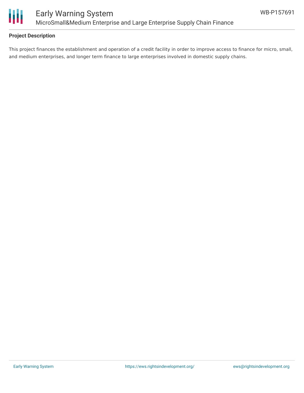

#### **Project Description**

This project finances the establishment and operation of a credit facility in order to improve access to finance for micro, small, and medium enterprises, and longer term finance to large enterprises involved in domestic supply chains.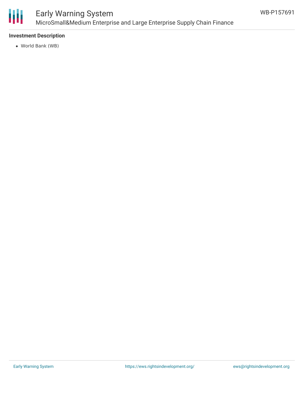

### Early Warning System MicroSmall&Medium Enterprise and Large Enterprise Supply Chain Finance

#### **Investment Description**

World Bank (WB)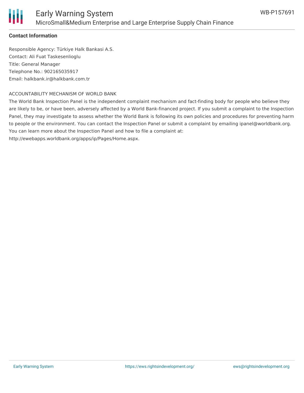

#### **Contact Information**

Responsible Agency: Türkiye Halk Bankasi A.S. Contact: Ali Fuat Taskesenlioglu Title: General Manager Telephone No.: 902165035917 Email: halkbank.ir@halkbank.com.tr

#### ACCOUNTABILITY MECHANISM OF WORLD BANK

The World Bank Inspection Panel is the independent complaint mechanism and fact-finding body for people who believe they are likely to be, or have been, adversely affected by a World Bank-financed project. If you submit a complaint to the Inspection Panel, they may investigate to assess whether the World Bank is following its own policies and procedures for preventing harm to people or the environment. You can contact the Inspection Panel or submit a complaint by emailing ipanel@worldbank.org. You can learn more about the Inspection Panel and how to file a complaint at:

http://ewebapps.worldbank.org/apps/ip/Pages/Home.aspx.